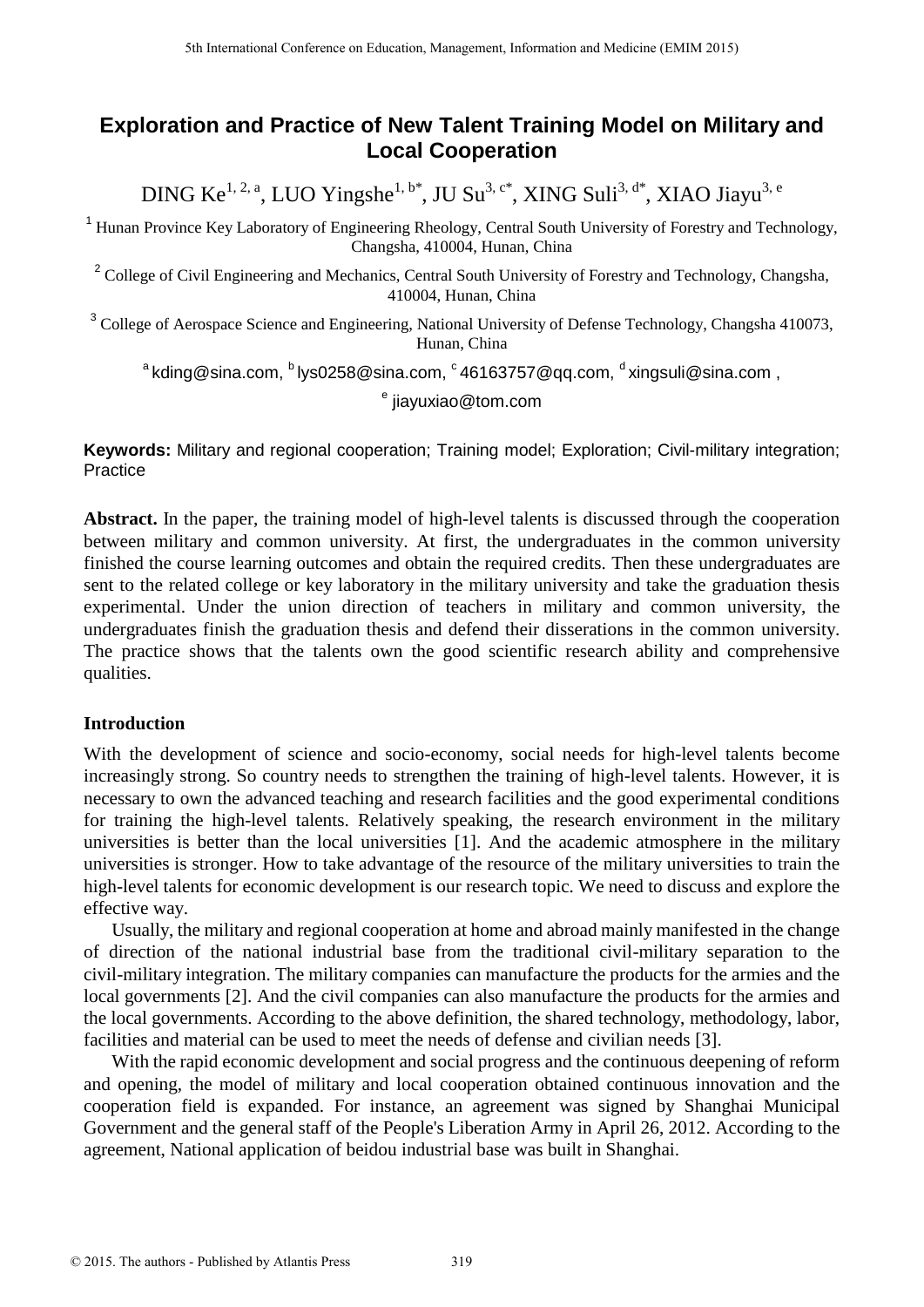# **Exploration and Practice of New Talent Training Model on Military and Local Cooperation**

DING Ke<sup>1, 2, a</sup>, LUO Yingshe<sup>1, b\*</sup>, JU Su<sup>3, c\*</sup>, XING Suli<sup>3, d\*</sup>, XIAO Jiayu<sup>3, e</sup>

<sup>1</sup> Hunan Province Key Laboratory of Engineering Rheology, Central South University of Forestry and Technology, Changsha, 410004, Hunan, China

<sup>2</sup> College of Civil Engineering and Mechanics, Central South University of Forestry and Technology, Changsha, 410004, Hunan, China

<sup>3</sup> College of Aerospace Science and Engineering, National University of Defense Technology, Changsha 410073, Hunan, China

 $^{\rm a}$ kding@sina.com,  $^{\rm b}$ Iys0258@sina.com,  $^{\rm c}$ 46163757@qq.com,  $^{\rm d}$ xingsuli@sina.com ,

e jiayuxiao@tom.com

**Keywords:** Military and regional cooperation; Training model; Exploration; Civil-military integration; Practice

**Abstract.** In the paper, the training model of high-level talents is discussed through the cooperation between military and common university. At first, the undergraduates in the common university finished the course learning outcomes and obtain the required credits. Then these undergraduates are sent to the related college or key laboratory in the military university and take the graduation thesis experimental. Under the union direction of teachers in military and common university, the undergraduates finish the graduation thesis and defend their disserations in the common university. The practice shows that the talents own the good scientific research ability and comprehensive qualities.

# **Introduction**

With the development of science and socio-economy, social needs for high-level talents become increasingly strong. So country needs to strengthen the training of high-level talents. However, it is necessary to own the advanced teaching and research facilities and the good experimental conditions for training the high-level talents. Relatively speaking, the research environment in the military universities is better than the local universities [1]. And the academic atmosphere in the military universities is stronger. How to take advantage of the resource of the military universities to train the high-level talents for economic development is our research topic. We need to discuss and explore the effective way.

Usually, the military and regional cooperation at home and abroad mainly manifested in the change of direction of the national industrial base from the traditional civil-military separation to the civil-military integration. The military companies can manufacture the products for the armies and the local governments [2]. And the civil companies can also manufacture the products for the armies and the local governments. According to the above definition, the shared technology, methodology, labor, facilities and material can be used to meet the needs of defense and civilian needs [3].

With the rapid economic development and social progress and the continuous deepening of reform and opening, the model of military and local cooperation obtained continuous innovation and the cooperation field is expanded. For instance, an agreement was signed by Shanghai Municipal Government and the general staff of the People's Liberation Army in April 26, 201[2.](http://cn.bing.com/dict/search?q=.&FORM=BDVSP6) According to the agreement, National application of beidou industrial base was built in Shanghai.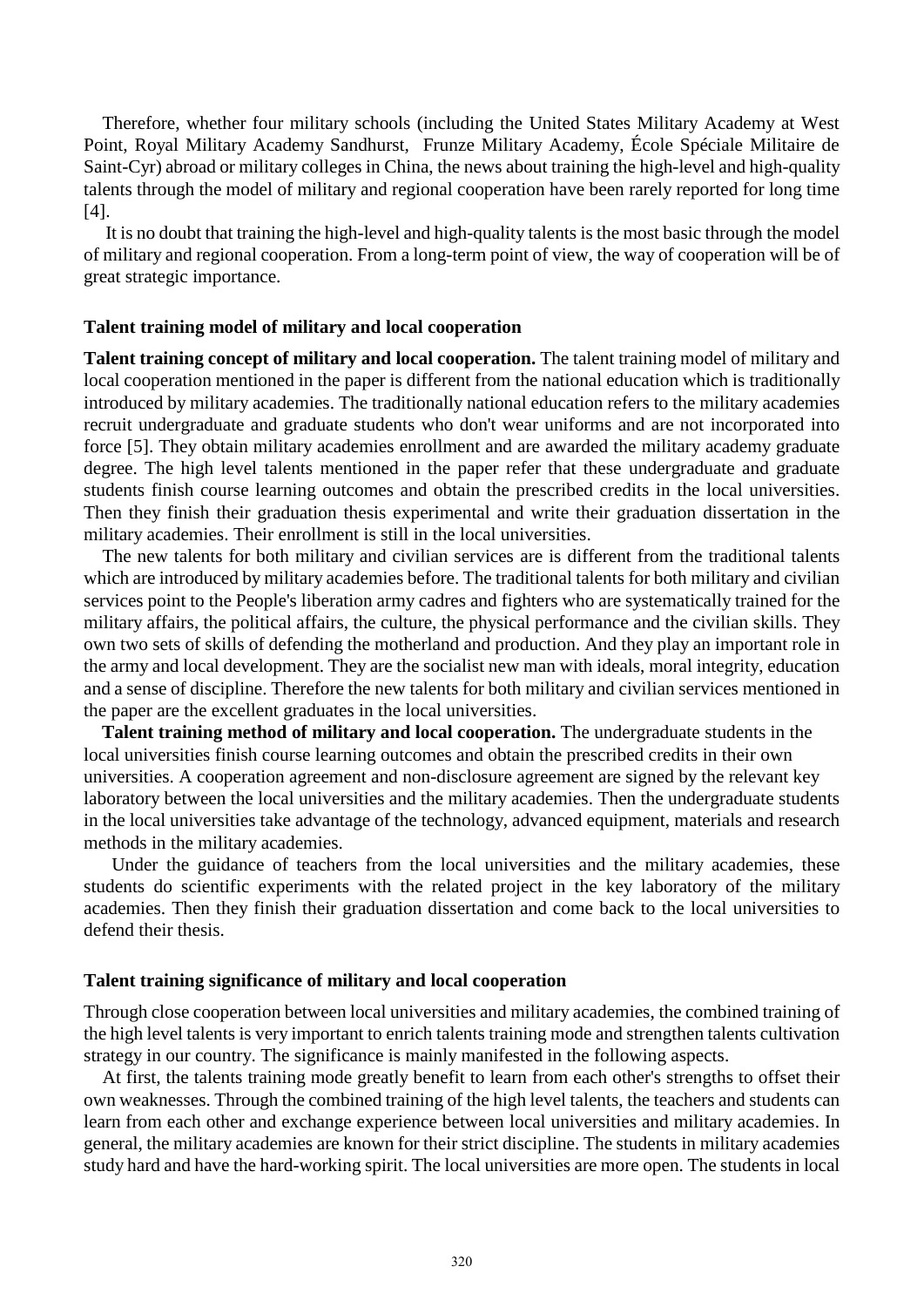Therefore, whether four military schools (including the United States Military Academy at West Point, Royal Military Academy Sandhurst, Frunze Military Academy, École Spéciale Militaire de Saint-Cyr) abroad or military colleges in China, the news about training the high-level and high-quality talents through the model of military and regional cooperation have been rarely reported for long time [4].

It is no doubt that training the high-level and high-quality talents is the most basic through the model of military and regional cooperation. [From](http://cn.bing.com/dict/search?q=from&FORM=BDVSP6) [a](http://cn.bing.com/dict/search?q=a&FORM=BDVSP6) [long](http://cn.bing.com/dict/search?q=long&FORM=BDVSP6)[-term](http://cn.bing.com/dict/search?q=term&FORM=BDVSP6) [point](http://cn.bing.com/dict/search?q=point&FORM=BDVSP6) [of](http://cn.bing.com/dict/search?q=of&FORM=BDVSP6) [view,](http://cn.bing.com/dict/search?q=view&FORM=BDVSP6) the way of cooperation will be of great strategic importance.

#### **Talent training model of military and local cooperation**

**Talent training concept of military and local cooperation.** The talent training model of military and local cooperation mentioned in the paper is different from the national education which is traditionally introduced by military academies. The traditionally national education refers to the military academies recruit undergraduate and graduate students who don't wear uniforms and are not incorporated into force [5]. They obtain military academies enrollment and are awarded the military academy graduate degree. The high level talents mentioned in the paper refer that these undergraduate and graduate students finish course learning outcomes and obtain the prescribed credits in the local universities. Then they finish their graduation thesis experimental and write their graduation dissertation in the military academies. Their enrollment is still in the local universities.

The new talents for both military and civilian services are is different from the traditional talents which are introduced by military academies before. The traditional talents for both military and civilian services point to the People's liberation army cadres and fighters who are systematically trained for the military affairs, the political affairs, the culture, the physical performance and the civilian skills. They own two sets of skills of defending the motherland and production. And they play an important role in the army and local development. They are the socialist new man with ideals, moral integrity, education and a sense of discipline. Therefore the new talents for both military and civilian services mentioned in the paper are the excellent graduates in the local universities.

**Talent training method of military and local cooperation.** The undergraduate students in the local universities finish course learning outcomes and obtain the prescribed credits in their own universities. A cooperation agreement and non-disclosure agreement are signed by the relevant key laboratory between the local universities and the military academies. Then the undergraduate students in the local universities take advantage of the technolog[y,](http://cn.bing.com/dict/search?q=%2C&FORM=BDVSP6) advanced equipmen[t,](http://cn.bing.com/dict/search?q=%2C&FORM=BDVSP6) materials and research methods in the military academies.

Under the guidance of teachers from the local universities and the military academies, these students do scientific experiments with the related project in the key laboratory of the military academies. Then they finish their graduation dissertation and come back to the local universities to defend their thesis.

#### **Talent training significance of military and local cooperation**

Through close cooperation between local universities and military academies, the combined training of the high level talents is very important to enrich talents training mode and strengthen talents cultivation strategy in our country. The significance is mainly manifested in the following aspects.

At first, the talents training mode greatly benefit to learn from each othe[r's](http://cn.bing.com/dict/search?q=) strengths to offset their own weaknesse[s.](http://cn.bing.com/dict/search?q=.&FORM=BDVSP6) Through the combined training of the high level talents, the teachers and students can learn from each other and exchange experience between local universities and military academies. In general, the military academies are known for their strict discipline. The students in military academies study hard and have the hard-working spirit. The local universities are more open. The students in local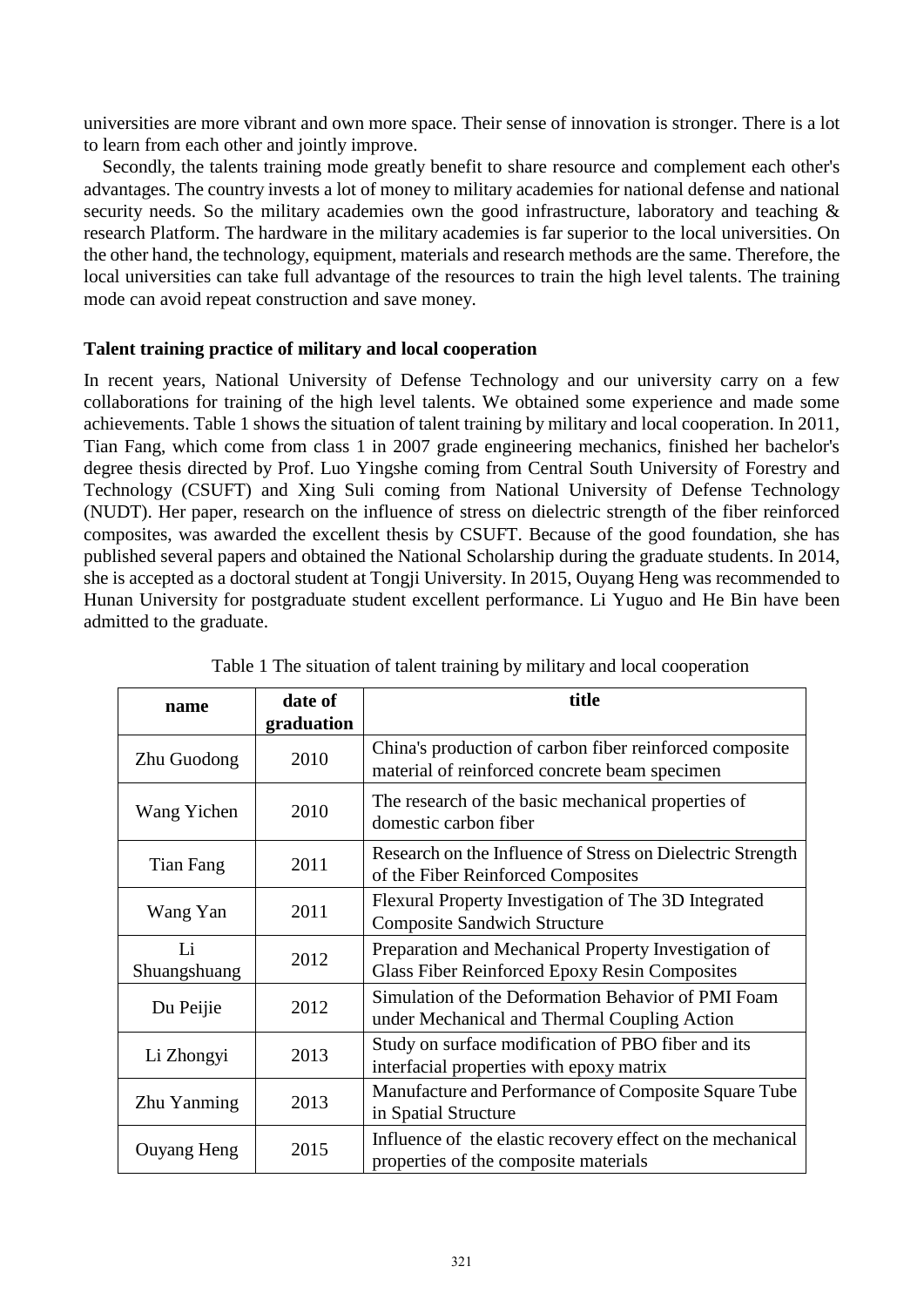universities are more vibrant and own more space. Their sense of innovation is stronger. There is a lot to learn from each other and jointly improve.

Secondly, the talents training mode greatly benefit to share resource and complement each other's advantages. The country invests a lot of money to military academies for national defense and national security needs. So the military academies own the good infrastructure, laboratory and teaching & research Platform. The hardware in the military academies is far superior to the local universities. On the other hand, the technolog[y,](http://cn.bing.com/dict/search?q=%2C&FORM=BDVSP6) equipmen[t,](http://cn.bing.com/dict/search?q=%2C&FORM=BDVSP6) materials and research methods are the same. Therefore, the local universities can take full advantage of the resources to train the high level talents. The training mode can avoid repeat construction and save money.

# **Talent training practice of military and local cooperation**

In recent years, National University of Defense Technology and our university carry on a few [collaborations](http://cn.bing.com/dict/search?q=collaborations&FORM=BDVSP6) for training of the high level talents. We obtained some experience and made some achievements. Table 1 shows the situation of talent training by military and local cooperation. In 2011, Tian Fang, which come from class 1 in 2007 grade engineering mechanics, finished her bachelor's degree thesis directed by Prof. Luo Yingshe coming from Central South University of Forestry and Technology (CSUFT) and Xing Suli coming from National University of Defense Technology (NUDT). Her paper, research on the influence of stress on dielectric strength of the fiber reinforced composites, was awarded the excellent thesis by CSUFT. Because of the good foundation, she has published several papers and obtained the National Scholarship during the graduate students. In 2014, she is accepted as a doctoral student at Tongji University. In 2015, Ouyang Heng was recommended to Hunan University for postgraduate student excellent performance. Li Yuguo and He Bin have been admitted to the graduate.

| name               | date of<br>graduation | title                                                                                                        |
|--------------------|-----------------------|--------------------------------------------------------------------------------------------------------------|
| Zhu Guodong        | 2010                  | China's production of carbon fiber reinforced composite<br>material of reinforced concrete beam specimen     |
| Wang Yichen        | 2010                  | The research of the basic mechanical properties of<br>domestic carbon fiber                                  |
| Tian Fang          | 2011                  | Research on the Influence of Stress on Dielectric Strength<br>of the Fiber Reinforced Composites             |
| Wang Yan           | 2011                  | Flexural Property Investigation of The 3D Integrated<br><b>Composite Sandwich Structure</b>                  |
| Li<br>Shuangshuang | 2012                  | Preparation and Mechanical Property Investigation of<br><b>Glass Fiber Reinforced Epoxy Resin Composites</b> |
| Du Peijie          | 2012                  | Simulation of the Deformation Behavior of PMI Foam<br>under Mechanical and Thermal Coupling Action           |
| Li Zhongyi         | 2013                  | Study on surface modification of PBO fiber and its<br>interfacial properties with epoxy matrix               |
| Zhu Yanming        | 2013                  | Manufacture and Performance of Composite Square Tube<br>in Spatial Structure                                 |
| <b>Ouyang Heng</b> | 2015                  | Influence of the elastic recovery effect on the mechanical<br>properties of the composite materials          |

Table 1 The situation of talent training by military and local cooperation